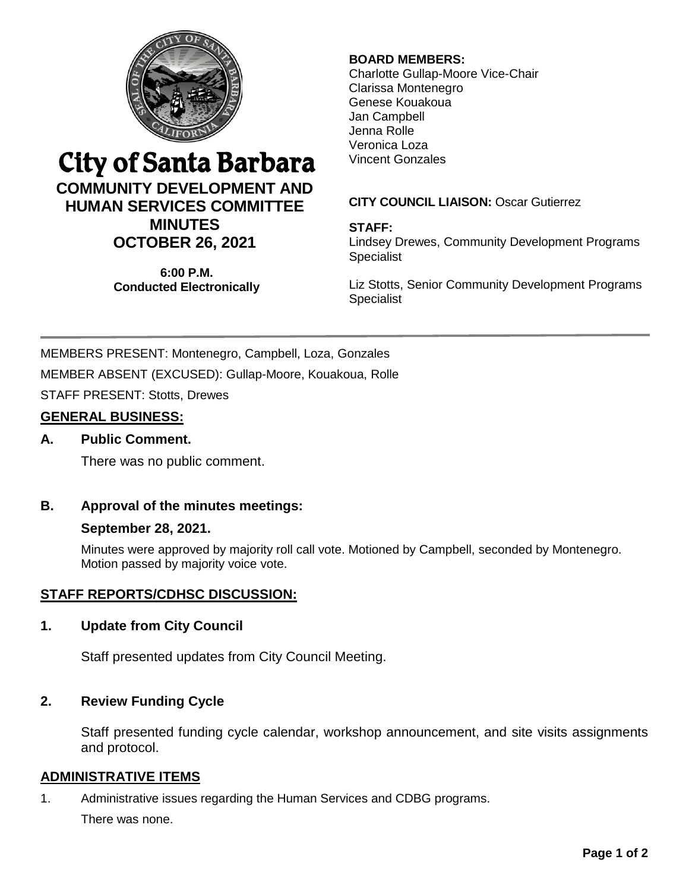

# City of Santa Barbara

## **COMMUNITY DEVELOPMENT AND HUMAN SERVICES COMMITTEE MINUTES OCTOBER 26, 2021**

**6:00 P.M. Conducted Electronically**

## **BOARD MEMBERS:**

Charlotte Gullap-Moore Vice-Chair Clarissa Montenegro Genese Kouakoua Jan Campbell Jenna Rolle Veronica Loza Vincent Gonzales

## **CITY COUNCIL LIAISON:** Oscar Gutierrez

#### **STAFF:**

Lindsey Drewes, Community Development Programs **Specialist** 

Liz Stotts, Senior Community Development Programs Specialist

MEMBERS PRESENT: Montenegro, Campbell, Loza, Gonzales MEMBER ABSENT (EXCUSED): Gullap-Moore, Kouakoua, Rolle STAFF PRESENT: Stotts, Drewes

## **GENERAL BUSINESS:**

## **A. Public Comment.**

There was no public comment.

## **B. Approval of the minutes meetings:**

#### **September 28, 2021.**

Minutes were approved by majority roll call vote. Motioned by Campbell, seconded by Montenegro. Motion passed by majority voice vote.

## **STAFF REPORTS/CDHSC DISCUSSION:**

#### **1. Update from City Council**

Staff presented updates from City Council Meeting.

## **2. Review Funding Cycle**

Staff presented funding cycle calendar, workshop announcement, and site visits assignments and protocol.

#### **ADMINISTRATIVE ITEMS**

1. Administrative issues regarding the Human Services and CDBG programs.

There was none.